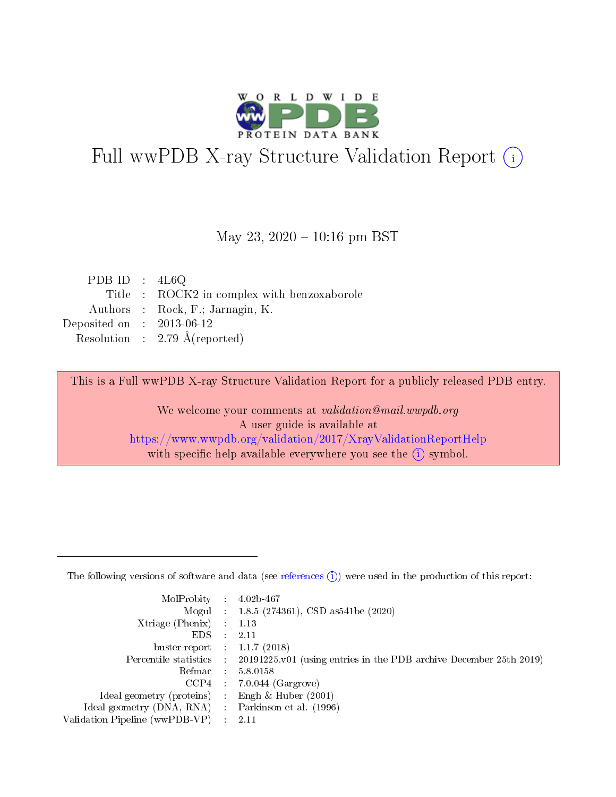

# Full wwPDB X-ray Structure Validation Report (i)

### May 23,  $2020 - 10:16$  pm BST

| PDB ID : $4L6Q$             |                                             |
|-----------------------------|---------------------------------------------|
|                             | Title : ROCK2 in complex with benzoxaborole |
|                             | Authors : Rock, F.; Jarnagin, K.            |
| Deposited on : $2013-06-12$ |                                             |
|                             | Resolution : 2.79 $\AA$ (reported)          |

This is a Full wwPDB X-ray Structure Validation Report for a publicly released PDB entry.

We welcome your comments at validation@mail.wwpdb.org A user guide is available at <https://www.wwpdb.org/validation/2017/XrayValidationReportHelp> with specific help available everywhere you see the  $(i)$  symbol.

The following versions of software and data (see [references](https://www.wwpdb.org/validation/2017/XrayValidationReportHelp#references)  $(1)$ ) were used in the production of this report:

| MolProbity : 4.02b-467         |     |                                                                                            |
|--------------------------------|-----|--------------------------------------------------------------------------------------------|
|                                |     | Mogul : $1.8.5$ (274361), CSD as 541be (2020)                                              |
| $X$ triage (Phenix) :          |     | 1.13                                                                                       |
| EDS.                           |     | 2.11                                                                                       |
| buster-report : $1.1.7$ (2018) |     |                                                                                            |
|                                |     | Percentile statistics : 20191225.v01 (using entries in the PDB archive December 25th 2019) |
| Refmac                         |     | 5.8.0158                                                                                   |
| CCP4                           |     | $7.0.044$ (Gargrove)                                                                       |
| Ideal geometry (proteins) :    |     | Engh $\&$ Huber (2001)                                                                     |
| Ideal geometry (DNA, RNA) :    |     | Parkinson et al. (1996)                                                                    |
| Validation Pipeline (wwPDB-VP) | -11 | -2.11                                                                                      |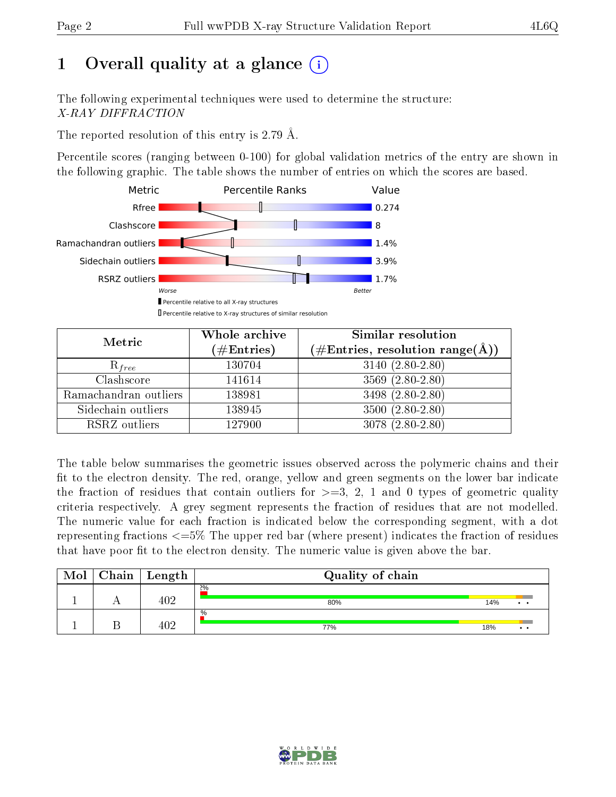# 1 [O](https://www.wwpdb.org/validation/2017/XrayValidationReportHelp#overall_quality)verall quality at a glance  $(i)$

The following experimental techniques were used to determine the structure: X-RAY DIFFRACTION

The reported resolution of this entry is 2.79 Å.

Percentile scores (ranging between 0-100) for global validation metrics of the entry are shown in the following graphic. The table shows the number of entries on which the scores are based.



| Metric                | Whole archive<br>$(\#\mathrm{Entries})$ | Similar resolution<br>$(\#\text{Entries},\,\text{resolution}\,\,\text{range}(\textup{\AA}))$ |
|-----------------------|-----------------------------------------|----------------------------------------------------------------------------------------------|
| $R_{free}$            | 130704                                  | $3140 (2.80 - 2.80)$                                                                         |
| Clashscore            | 141614                                  | $3569(2.80-2.80)$                                                                            |
| Ramachandran outliers | 138981                                  | 3498 (2.80-2.80)                                                                             |
| Sidechain outliers    | 138945                                  | $3500(2.80-2.80)$                                                                            |
| RSRZ outliers         | 127900                                  | $3078(2.80-2.80)$                                                                            |

The table below summarises the geometric issues observed across the polymeric chains and their fit to the electron density. The red, orange, yellow and green segments on the lower bar indicate the fraction of residues that contain outliers for  $>=3, 2, 1$  and 0 types of geometric quality criteria respectively. A grey segment represents the fraction of residues that are not modelled. The numeric value for each fraction is indicated below the corresponding segment, with a dot representing fractions  $\epsilon=5\%$  The upper red bar (where present) indicates the fraction of residues that have poor fit to the electron density. The numeric value is given above the bar.

| Mol | Chain | $\vert$ Length | Quality of chain     |     |                 |
|-----|-------|----------------|----------------------|-----|-----------------|
|     |       | 402            | 2%<br>80%            | 14% | $\cdot$ $\cdot$ |
|     |       | 40 2           | $\frac{0}{0}$<br>77% | 18% | . .             |

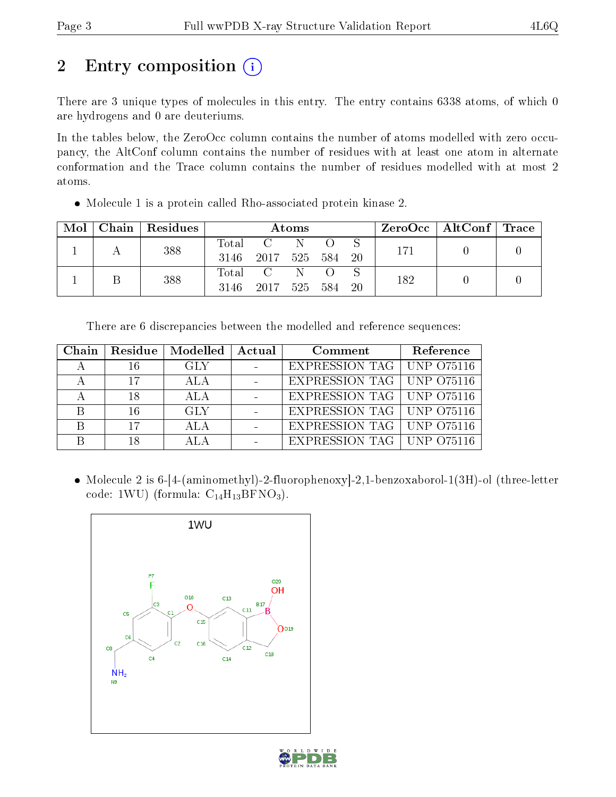# 2 Entry composition  $\left( \cdot \right)$

There are 3 unique types of molecules in this entry. The entry contains 6338 atoms, of which 0 are hydrogens and 0 are deuteriums.

In the tables below, the ZeroOcc column contains the number of atoms modelled with zero occupancy, the AltConf column contains the number of residues with at least one atom in alternate conformation and the Trace column contains the number of residues modelled with at most 2 atoms.

Molecule 1 is a protein called Rho-associated protein kinase 2.

| Mol | Chain   Residues | Atoms               |                            |  |  |  | $ZeroOcc \mid AltConf \mid Trace \mid$ |  |  |
|-----|------------------|---------------------|----------------------------|--|--|--|----------------------------------------|--|--|
|     | 388              | $\rm Total$<br>3146 | 2017 525 584 20            |  |  |  | 171                                    |  |  |
|     | 388              | 3146                | Total C<br>2017 525 584 20 |  |  |  | 182                                    |  |  |

There are 6 discrepancies between the modelled and reference sequences:

| Chain | Residue | Modelled | Actual | Comment                     | Reference |
|-------|---------|----------|--------|-----------------------------|-----------|
|       | 16      | GLY      |        | EXPRESSION TAG   UNP 075116 |           |
|       | 17      |          |        | EXPRESSION TAG   UNP 075116 |           |
|       | 18      | ALA      |        | EXPRESSION TAG   UNP 075116 |           |
|       | 16      | GLY      |        | EXPRESSION TAG   UNP 075116 |           |
|       | 17      |          |        | EXPRESSION TAG   UNP 075116 |           |
|       | 18      |          |        | EXPRESSION TAG   UNP 075116 |           |

 Molecule 2 is 6-[4-(aminomethyl)-2-fluorophenoxy]-2,1-benzoxaborol-1(3H)-ol (three-letter code: 1WU) (formula:  $C_{14}H_{13}BFNO_3$ ).



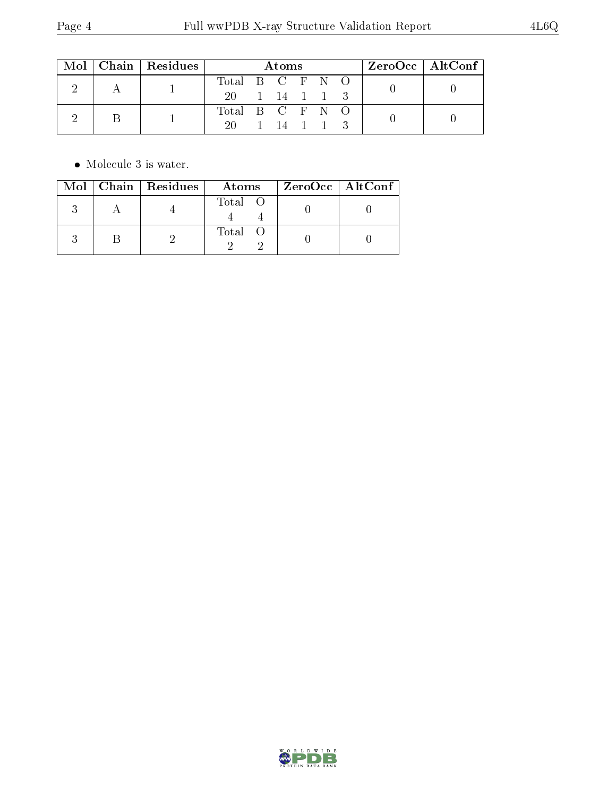|  | $Mol$   Chain   Residues | Atoms           |  |            |  | $ZeroOcc \mid AltConf \mid$ |  |  |
|--|--------------------------|-----------------|--|------------|--|-----------------------------|--|--|
|  |                          | Total B C F N O |  |            |  |                             |  |  |
|  |                          | 20 1 14 1 1 3   |  |            |  |                             |  |  |
|  |                          | Total B C F N O |  |            |  |                             |  |  |
|  |                          | $20 -$          |  | 1 14 1 1 3 |  |                             |  |  |

 $\bullet\,$  Molecule 3 is water.

|  | Mol   Chain   Residues | Atoms   | $ZeroOcc \   \ AltConf \  $ |
|--|------------------------|---------|-----------------------------|
|  |                        | Total O |                             |
|  |                        | Total O |                             |

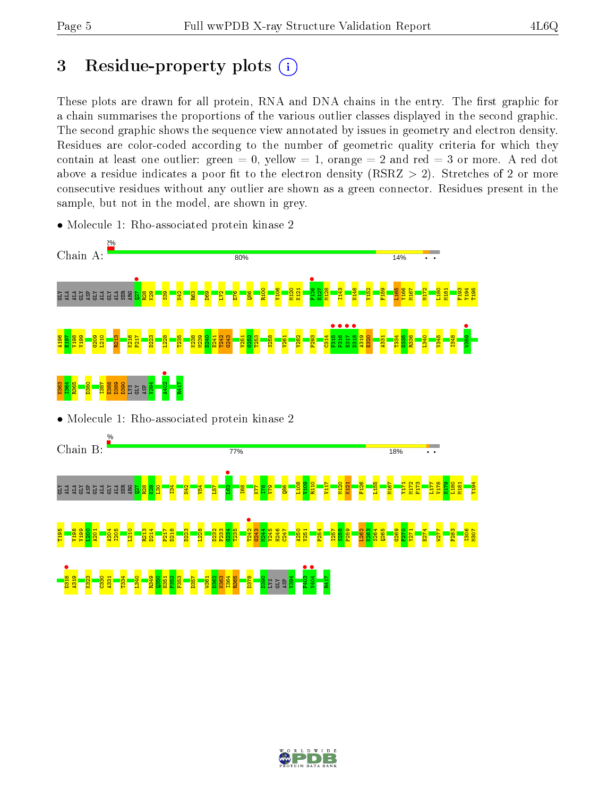# 3 Residue-property plots  $(i)$

These plots are drawn for all protein, RNA and DNA chains in the entry. The first graphic for a chain summarises the proportions of the various outlier classes displayed in the second graphic. The second graphic shows the sequence view annotated by issues in geometry and electron density. Residues are color-coded according to the number of geometric quality criteria for which they contain at least one outlier: green  $= 0$ , yellow  $= 1$ , orange  $= 2$  and red  $= 3$  or more. A red dot above a residue indicates a poor fit to the electron density (RSRZ  $> 2$ ). Stretches of 2 or more consecutive residues without any outlier are shown as a green connector. Residues present in the sample, but not in the model, are shown in grey.



• Molecule 1: Rho-associated protein kinase 2

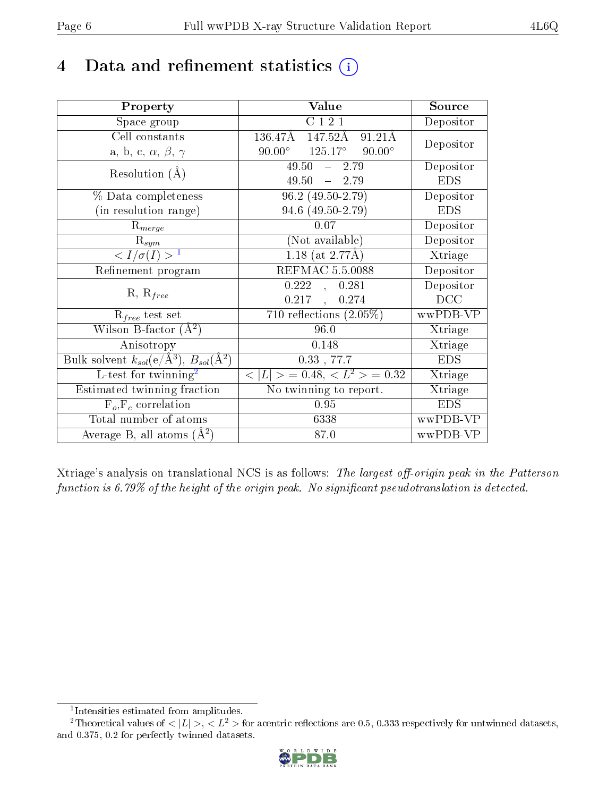# 4 Data and refinement statistics  $(i)$

| Property                                                         | Value                                              | Source     |
|------------------------------------------------------------------|----------------------------------------------------|------------|
| Space group                                                      | C121                                               | Depositor  |
| Cell constants                                                   | 136.47Å<br>147.52Å<br>91.21Å                       | Depositor  |
| a, b, c, $\alpha$ , $\beta$ , $\gamma$                           | $125.17^{\circ}$<br>$90.00^\circ$<br>$90.00^\circ$ |            |
| Resolution $(A)$                                                 | $49.50 - 2.79$                                     | Depositor  |
|                                                                  | 49.50<br>$-2.79$                                   | <b>EDS</b> |
| % Data completeness                                              | $96.2(49.50-2.79)$                                 | Depositor  |
| (in resolution range)                                            | 94.6 (49.50-2.79)                                  | <b>EDS</b> |
| $R_{merge}$                                                      | 0.07                                               | Depositor  |
| $\mathrm{R}_{sym}$                                               | (Not available)                                    | Depositor  |
| $\langle I/\sigma(I) \rangle^{-1}$                               | $1.18$ (at 2.77Å)                                  | Xtriage    |
| Refinement program                                               | <b>REFMAC 5.5.0088</b>                             | Depositor  |
|                                                                  | 0.222,<br>0.281                                    | Depositor  |
| $R, R_{free}$                                                    | $0.217$ ,<br>0.274                                 | DCC        |
| $\mathcal{R}_{free}$ test set                                    | 710 reflections $(2.05\%)$                         | wwPDB-VP   |
| Wilson B-factor $(A^2)$                                          | 96.0                                               | Xtriage    |
| Anisotropy                                                       | 0.148                                              | Xtriage    |
| Bulk solvent $k_{sol}(\text{e}/\text{A}^3), B_{sol}(\text{A}^2)$ | $0.33$ , $77.7$                                    | <b>EDS</b> |
| L-test for twinning <sup>2</sup>                                 | $< L >$ = 0.48, $< L^2 >$ = 0.32                   | Xtriage    |
| Estimated twinning fraction                                      | No twinning to report.                             | Xtriage    |
| $F_o, F_c$ correlation                                           | 0.95                                               | <b>EDS</b> |
| Total number of atoms                                            | 6338                                               | wwPDB-VP   |
| Average B, all atoms $(A^2)$                                     | 87.0                                               | wwPDB-VP   |

Xtriage's analysis on translational NCS is as follows: The largest off-origin peak in the Patterson function is  $6.79\%$  of the height of the origin peak. No significant pseudotranslation is detected.

<sup>&</sup>lt;sup>2</sup>Theoretical values of  $\langle |L| \rangle$ ,  $\langle L^2 \rangle$  for acentric reflections are 0.5, 0.333 respectively for untwinned datasets, and 0.375, 0.2 for perfectly twinned datasets.



<span id="page-5-1"></span><span id="page-5-0"></span><sup>1</sup> Intensities estimated from amplitudes.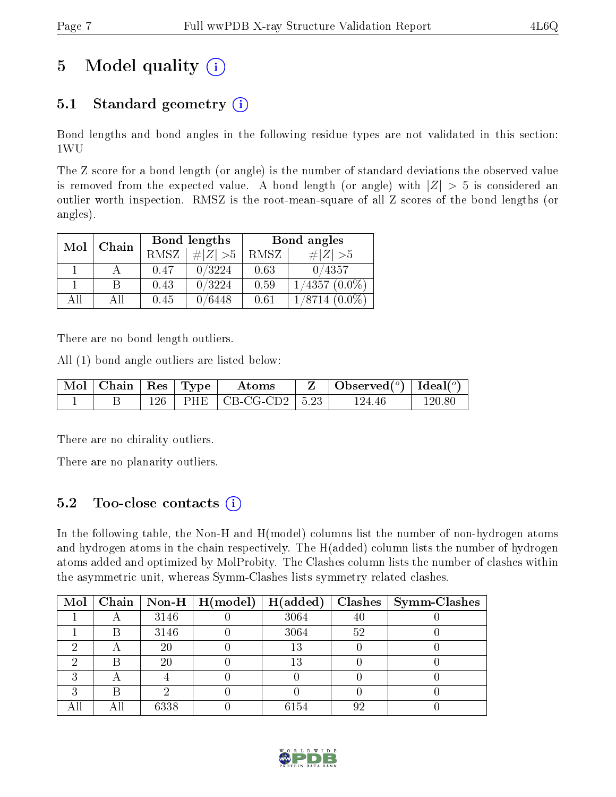# 5 Model quality  $(i)$

# 5.1 Standard geometry  $(i)$

Bond lengths and bond angles in the following residue types are not validated in this section: 1WU

The Z score for a bond length (or angle) is the number of standard deviations the observed value is removed from the expected value. A bond length (or angle) with  $|Z| > 5$  is considered an outlier worth inspection. RMSZ is the root-mean-square of all Z scores of the bond lengths (or angles).

| Mol | Chain |             | Bond lengths | Bond angles |                     |  |
|-----|-------|-------------|--------------|-------------|---------------------|--|
|     |       | <b>RMSZ</b> | $\# Z  > 5$  | RMSZ        | $\# Z  > 5$         |  |
|     |       | 0.47        | 0/3224       | 0.63        | 0/4357              |  |
|     | В     | 0.43        | 0/3224       | 0.59        | $1/4357(0.0\%)$     |  |
| ΑH  | ΑH    | 0.45        | 0/6448       | 0.61        | 1/8714<br>$(0.0\%)$ |  |

There are no bond length outliers.

All (1) bond angle outliers are listed below:

| $\mid$ Mol $\mid$ Chain $\mid$ Res $\mid$ Type |  | Atoms                          | $\mathbf{Z}$   Observed( $^o$ )   Ideal( $^o$ ) |        |
|------------------------------------------------|--|--------------------------------|-------------------------------------------------|--------|
|                                                |  | $126$   PHE   CB-CG-CD2   5.23 | 124.46                                          | 120 80 |

There are no chirality outliers.

There are no planarity outliers.

### 5.2 Too-close contacts  $(i)$

In the following table, the Non-H and H(model) columns list the number of non-hydrogen atoms and hydrogen atoms in the chain respectively. The H(added) column lists the number of hydrogen atoms added and optimized by MolProbity. The Clashes column lists the number of clashes within the asymmetric unit, whereas Symm-Clashes lists symmetry related clashes.

| $\text{Mol}$ |   |      | $\mid$ Chain $\mid$ Non-H $\mid$ H(model) | H(added) | Clashes | $\vert$ Symm-Clashes |
|--------------|---|------|-------------------------------------------|----------|---------|----------------------|
|              |   | 3146 |                                           | 3064     | 40      |                      |
|              |   | 3146 |                                           | 3064     | 52      |                      |
|              |   | 20   |                                           | 13       |         |                      |
|              |   | 20   |                                           | 13       |         |                      |
|              |   |      |                                           |          |         |                      |
|              | R |      |                                           |          |         |                      |
|              |   | 6338 |                                           | 6154     | 92      |                      |

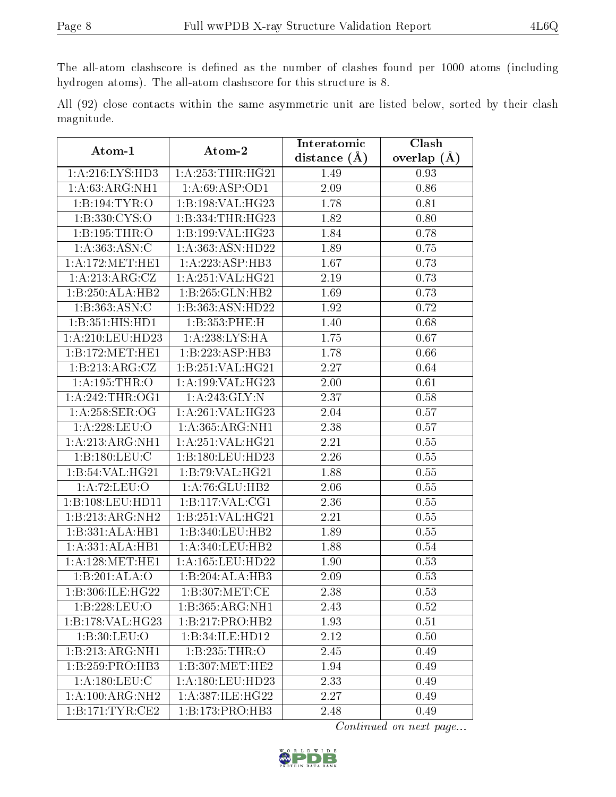The all-atom clashscore is defined as the number of clashes found per 1000 atoms (including hydrogen atoms). The all-atom clashscore for this structure is 8.

All (92) close contacts within the same asymmetric unit are listed below, sorted by their clash magnitude.

| Atom-1             | Atom-2                                | Interatomic       | Clash           |
|--------------------|---------------------------------------|-------------------|-----------------|
|                    |                                       | distance $(A)$    | overlap $(\AA)$ |
| 1:A:216:LYS:HD3    | 1: A: 253: THR: HG21                  | 1.49              | 0.93            |
| 1: A:63:ARG:NH1    | 1: A:69: ASP:OD1                      | 2.09              | 0.86            |
| 1:B:194:TYR:O      | 1:B:198:VAL:HG23                      | 1.78              | 0.81            |
| 1: B: 330: CYS:O   | 1:B:334:THR:HG23                      | 1.82              | 0.80            |
| 1:B:195:THR:O      | 1:B:199:VAL:HG23                      | 1.84              | 0.78            |
| 1: A: 363: ASN: C  | 1:A:363:ASN:HD22                      | 1.89              | 0.75            |
| 1: A:172:MET:HE1   | 1:A:223:ASP:HB3                       | 1.67              | 0.73            |
| 1: A:213:ARG:CZ    | 1:A:251:VAL:HG21                      | 2.19              | 0.73            |
| 1:B:250:ALA:HB2    | 1:B:265:GLN:HB2                       | 1.69              | 0.73            |
| 1:B:363:ASN:C      | 1:B:363:ASN:HD22                      | 1.92              | 0.72            |
| 1:B:351:HIS:HD1    | 1:B:353:PHE:H                         | 1.40              | 0.68            |
| 1:A:210:LEU:HD23   | 1:A:238:LYS:HA                        | 1.75              | 0.67            |
| 1:B:172:MET:HE1    | 1:B:223:ASP:HB3                       | 1.78              | 0.66            |
| 1:B:213:ARG:CZ     | 1:B:251:VAL:HG21                      | 2.27              | 0.64            |
| 1: A:195:THR:O     | 1:A:199:VAL:HG23                      | 2.00              | 0.61            |
| 1: A:242:THR:OG1   | 1:A:243:GLY:N                         | 2.37              | 0.58            |
| 1: A:258: SER:OG   | 1:A:261:VAL:HG23                      | 2.04              | 0.57            |
| 1: A:228:LEU:O     | 1:A:365:ARG:NH1                       | 2.38              | 0.57            |
| 1:A:213:ARG:NH1    | 1:A:251:VAL:HG21                      | 2.21              | 0.55            |
| 1: B: 180: LEU: C  | 1:B:180:LEU:HD23                      | 2.26              | $0.55\,$        |
| 1:B:54:VAL:HG21    | 1:B:79:VAL:HG21                       | 1.88              | $0.55\,$        |
| 1:A:72:LEU:O       | 1:A:76:GLU:HB2                        | 2.06              | 0.55            |
| 1:B:108:LEU:HD11   | 1: B: 117: VAL: CG1                   | 2.36              | 0.55            |
| 1:B:213:ARG:NH2    | 1:B:251:VAL:HG21                      | 2.21              | $0.55\,$        |
| 1:B:331:ALA:HB1    | 1:B:340:LEU:HB2                       | 1.89              | 0.55            |
| 1:A:331:ALA:HB1    | 1: A:340:LEU:HB2                      | 1.88              | 0.54            |
| 1: A:128: MET:HE1  | 1: A: 165: LEU: HD22                  | 1.90              | 0.53            |
| 1:B:201:ALA:O      | 1:B:204:ALA:HB3                       | 2.09              | 0.53            |
| 1:B:306:ILE:HG22   | 1: B:307: MET:CE                      | $\overline{2.38}$ | 0.53            |
| 1:B:228:LEU:O      | 1:B:365:ARG:NH1                       | 2.43              | 0.52            |
| 1:B:178:VAL:HG23   | 1:B:217:PRO:HB2                       | 1.93              | 0.51            |
| 1: B:30: LEU:O     | 1:B:34:ILE:HD12                       | 2.12              | 0.50            |
| 1:B:213:ARG:NH1    | 1:B:235:THR:O                         | 2.45              | 0.49            |
| 1:B:259:PRO:HB3    | $1:B:307:\overline{\mathrm{MET:HE2}}$ | 1.94              | 0.49            |
| 1:A:180:LEU:C      | 1:A:180:LEU:HD23                      | 2.33              | 0.49            |
| 1:A:100:ARG:NH2    | 1:A:387:ILE:HG22                      | 2.27              | 0.49            |
| 1: B:171: TYR: CE2 | 1:B:173:PRO:HB3                       | 2.48              | 0.49            |

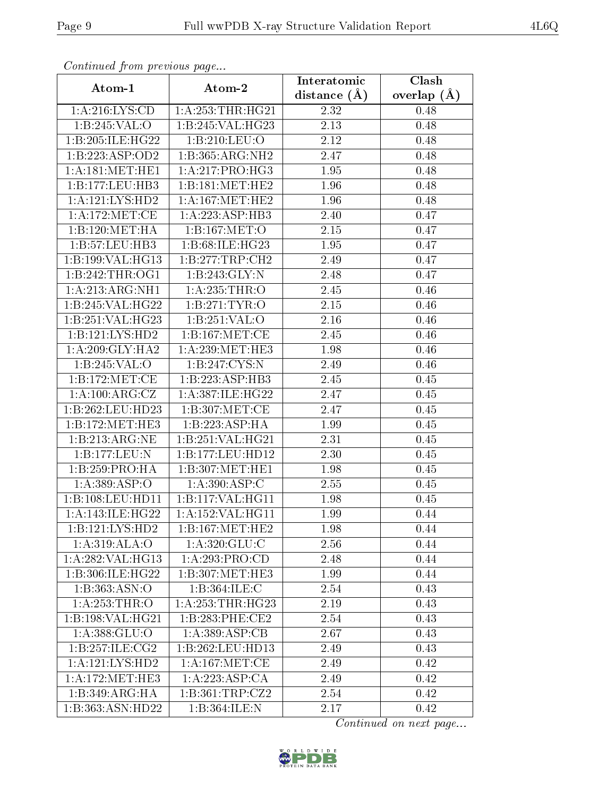| Continued from previous page |                      | Interatomic       | Clash           |
|------------------------------|----------------------|-------------------|-----------------|
| Atom-1                       | Atom-2               | distance $(A)$    | overlap $(\AA)$ |
| 1: A:216: LYS:CD             | 1:A:253:THR:HG21     | 2.32              | 0.48            |
| 1:B:245:VAL:O                | 1:B:245:VAL:HG23     | 2.13              | 0.48            |
| 1:B:205:ILE:HG22             | 1:B:210:LEU:O        | 2.12              | 0.48            |
| 1:B:223:ASP:OD2              | 1:B:365:ARG:NH2      | 2.47              | 0.48            |
| 1:A:181:MET:HE1              | 1:A:217:PRO:HG3      | 1.95              | 0.48            |
| 1:B:177:LEU:HB3              | 1:B:181:MET:HE2      | 1.96              | 0.48            |
| 1:A:121:LYS:HD2              | 1: A:167: MET:HE2    | 1.96              | 0.48            |
| 1: A:172: MET:CE             | 1: A: 223: ASP: HB3  | 2.40              | 0.47            |
| 1:B:120:MET:HA               | 1:B:167:MET:O        | 2.15              | 0.47            |
| 1:B:57:LEU:HB3               | 1:B:68:ILE:HG23      | 1.95              | 0.47            |
| 1:B:199:VAL:HG13             | 1:B:277:TRP:CH2      | 2.49              | 0.47            |
| 1:B:242:THR:OG1              | 1:B:243:GLY:N        | 2.48              | 0.47            |
| 1:A:213:ARG:NH1              | 1: A:235:THR:O       | 2.45              | 0.46            |
| 1:B:245:VAL:HG22             | 1: B:271: TYR:O      | 2.15              | 0.46            |
| 1:B:251:VAL:HG23             | 1:B:251:VAL:O        | 2.16              | 0.46            |
| 1:B:121:LYS:HD2              | 1:B:167:MET:CE       | 2.45              | 0.46            |
| 1: A:209: GLY:HA2            | 1:A:239:MET:HE3      | 1.98              | 0.46            |
| 1:B:245:VAL:O                | 1:B:247:CYS:N        | 2.49              | 0.46            |
| 1:B:172:MET:CE               | 1:B:223:ASP:HB3      | 2.45              | 0.45            |
| 1: A:100:ARG:CZ              | 1:A:387:ILE:HG22     | 2.47              | 0.45            |
| 1:B:262:LEU:HD23             | 1: B:307: MET:CE     | 2.47              | 0.45            |
| 1:B:172:MET:HE3              | 1:B:223:ASP:HA       | 1.99              | 0.45            |
| 1:B:213:ARG:NE               | 1:B:251:VAL:HG21     | 2.31              | 0.45            |
| 1:B:177:LEU:N                | 1:B:177:LEU:HD12     | $\overline{2.30}$ | 0.45            |
| 1:B:259:PRO:HA               | 1:B:307:MET:HE1      | 1.98              | 0.45            |
| 1: A: 389: ASP: O            | 1:A:390:ASP:C        | 2.55              | 0.45            |
| 1:B:108:LEU:HD11             | 1:B:117:VAL:HG11     | 1.98              | 0.45            |
| 1:A:143:ILE:HG22             | 1:A:152:VAL:HG11     | 1.99              | 0.44            |
| $1:B:121:LY\overline{S:HD2}$ | 1:B:167:MET:HE2      | 1.98              | 0.44            |
| 1:A:319:ALA:O                | 1: A:320: GLU: C     | 2.56              | 0.44            |
| 1:A:282:VAL:HG13             | 1:A:293:PRO:CD       | 2.48              | 0.44            |
| 1:B:306:ILE:HG22             | 1:B:307:MET:HE3      | 1.99              | 0.44            |
| 1: B: 363: ASN:O             | 1:B:364:ILE:C        | 2.54              | 0.43            |
| 1: A:253:THR:O               | 1: A: 253: THR: HG23 | 2.19              | 0.43            |
| 1:B:198:VAL:HG21             | 1:B:283:PHE:CE2      | 2.54              | 0.43            |
| 1: A: 388: GLU:O             | 1: A:389: ASP:CB     | 2.67              | 0.43            |
| 1:B:257:ILE:CG2              | 1:B:262:LEU:HD13     | 2.49              | 0.43            |
| 1: A: 121: LYS: HD2          | 1: A:167: MET:CE     | 2.49              | 0.42            |
| 1: A:172: MET:HE3            | 1:A:223:ASP:CA       | 2.49              | 0.42            |
| 1:B:349:ARG:HA               | 1:B:361:TRP:CZ2      | 2.54              | 0.42            |
| 1:B:363:ASN:HD22             | 1:B:364:ILE:N        | 2.17              | 0.42            |

Continued from previous page.

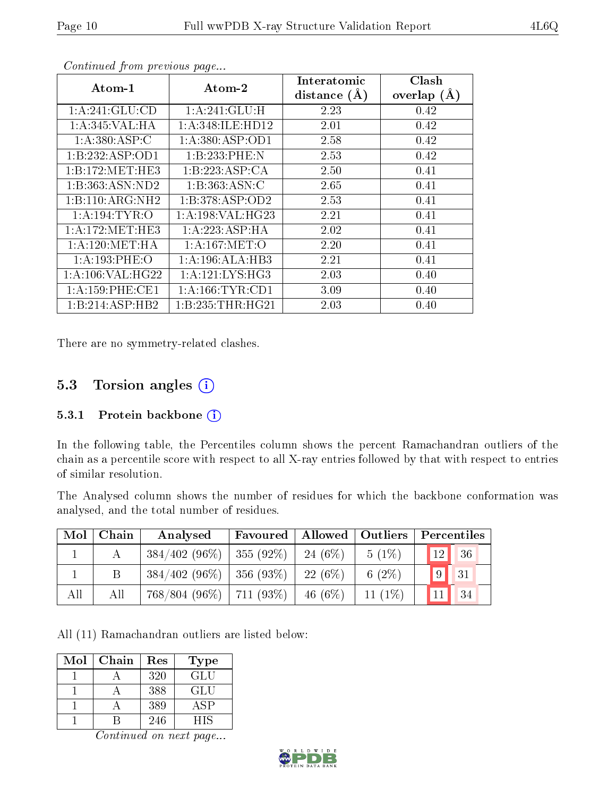| $\rm{Atom\text{-}1}$ | Atom-2              |      | Clash<br>overlap $(\AA)$ |
|----------------------|---------------------|------|--------------------------|
| 1: A:241: GLU:CD     | 1: A:241: GLU:H     | 2.23 | 0.42                     |
| 1: A:345: VAL:HA     | 1: A:348: ILE: HD12 | 2.01 | 0.42                     |
| 1: A:380: ASP:C      | 1:A:380:ASP:OD1     | 2.58 | 0.42                     |
| 1:B:232:ASP:OD1      | 1:B:233:PHE:N       | 2.53 | 0.42                     |
| 1:B:172:MET:HE3      | 1:B:223:ASP:CA      | 2.50 | 0.41                     |
| 1:B:363:ASN:ND2      | 1: B: 363: ASN: C   | 2.65 | 0.41                     |
| 1:B:110:ARG:NH2      | 1:B:378:ASP:OD2     | 2.53 | 0.41                     |
| 1: A:194:TYR:O       | 1: A:198: VAL:HG23  | 2.21 | 0.41                     |
| 1: A:172: MET:HE3    | 1:A:223:ASP:HA      | 2.02 | 0.41                     |
| 1: A:120: MET:HA     | 1: A:167: MET:O     | 2.20 | 0.41                     |
| 1:A:193:PHE:O        | 1:A:196:ALA:HB3     | 2.21 | 0.41                     |
| 1: A:106: VAL:HG22   | 1: A:121:LYS:HG3    | 2.03 | 0.40                     |
| $1: A:159:$ PHE:CE1  | 1: A: 166: TYR: CD1 | 3.09 | 0.40                     |
| 1:B:214:ASP:HB2      | 1:B:235:THR:HG21    | 2.03 | 0.40                     |

Continued from previous page...

There are no symmetry-related clashes.

### 5.3 Torsion angles (i)

#### 5.3.1 Protein backbone  $(i)$

In the following table, the Percentiles column shows the percent Ramachandran outliers of the chain as a percentile score with respect to all X-ray entries followed by that with respect to entries of similar resolution.

The Analysed column shows the number of residues for which the backbone conformation was analysed, and the total number of residues.

| Mol | Chain | Analysed        | Allowed   Outliers  <br>Favoured |            |            | Percentiles           |  |  |
|-----|-------|-----------------|----------------------------------|------------|------------|-----------------------|--|--|
|     |       | $384/402(96\%)$ | $355(92\%)$                      | 24 $(6\%)$ | $5(1\%)$   | 12 <sup>1</sup><br>36 |  |  |
|     | B     | $384/402(96\%)$ | $356(93\%)$                      | $22(6\%)$  | 6 $(2\%)$  | '9<br>31              |  |  |
| All | All   | 768/804 (96\%)  | $711(93\%)$                      | 46 $(6\%)$ | 11 $(1\%)$ | 34<br>11              |  |  |

All (11) Ramachandran outliers are listed below:

| Mol | Chain | Res | Type |
|-----|-------|-----|------|
|     |       | 320 | GLU  |
|     |       | 388 | GLU  |
|     |       | 389 | ASP  |
|     |       | 246 | ΗIS  |

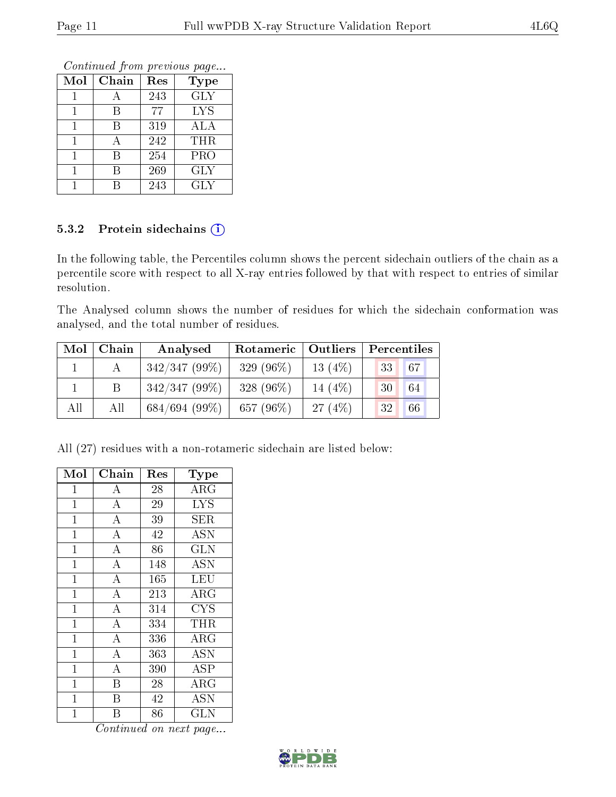Continued from previous page...

| Mol | Chain | Res | <b>Type</b> |
|-----|-------|-----|-------------|
|     |       | 243 | <b>GLY</b>  |
|     | R     | 77  | <b>LYS</b>  |
|     | В     | 319 | ALA         |
|     |       | 242 | <b>THR</b>  |
|     |       | 254 | PRO         |
|     | В     | 269 | GLY         |
|     |       | 243 | GLY         |

### 5.3.2 Protein sidechains (i)

In the following table, the Percentiles column shows the percent sidechain outliers of the chain as a percentile score with respect to all X-ray entries followed by that with respect to entries of similar resolution.

The Analysed column shows the number of residues for which the sidechain conformation was analysed, and the total number of residues.

| Mol | Chain | Analysed        | Rotameric   Outliers |           | Percentiles |    |  |
|-----|-------|-----------------|----------------------|-----------|-------------|----|--|
|     |       | $342/347(99\%)$ | 329 $(96\%)$         | 13 $(4%)$ | 33          | 67 |  |
|     |       | $342/347(99\%)$ | 328 $(96\%)$         | 14 $(4%)$ | 30          | 64 |  |
| All | All   | 684/694(99%)    | 657 $(96\%)$         | 27(4%)    | 32          | 66 |  |

All (27) residues with a non-rotameric sidechain are listed below:

| Mol            | ${\rm Chain}$           | $\operatorname{Res}% \left( \mathcal{N}\right) \equiv\operatorname{Res}(\mathcal{N}_{0})\cap\mathcal{N}_{1}$ | Type                    |
|----------------|-------------------------|--------------------------------------------------------------------------------------------------------------|-------------------------|
| 1              | А                       | 28                                                                                                           | ARG                     |
| $\mathbf{1}$   | $\overline{\rm A}$      | 29                                                                                                           | $\overline{\text{LYS}}$ |
| $\mathbf{1}$   | $\overline{\rm A}$      | 39                                                                                                           | SER.                    |
| $\overline{1}$ | $\overline{\rm A}$      | 42                                                                                                           | <b>ASN</b>              |
| $\mathbf{1}$   | $\overline{A}$          | 86                                                                                                           | <b>GLN</b>              |
| $\overline{1}$ | $\overline{A}$          | 148                                                                                                          | <b>ASN</b>              |
| $\mathbf 1$    | $\overline{\rm A}$      | 165                                                                                                          | LEU                     |
| $\mathbf{1}$   | $\overline{\rm A}$      | 213                                                                                                          | $\rm{ARG}$              |
| $\mathbf{1}$   | $\overline{\rm A}$      | 314                                                                                                          | <b>CYS</b>              |
| $\mathbf{1}$   | $\overline{A}$          | 334                                                                                                          | THR                     |
| $\overline{1}$ | $\overline{A}$          | 336                                                                                                          | $\rm{ARG}$              |
| $\overline{1}$ | $\overline{\rm A}$      | 363                                                                                                          | <b>ASN</b>              |
| $\mathbf 1$    | $\overline{A}$          | 390                                                                                                          | ASP                     |
| $\mathbf{1}$   | $\overline{\mathrm{B}}$ | 28                                                                                                           | $\rm{ARG}$              |
| $\mathbf 1$    | B                       | 42                                                                                                           | <b>ASN</b>              |
| $\overline{1}$ | В                       | 86                                                                                                           | $\overline{\text{GLN}}$ |

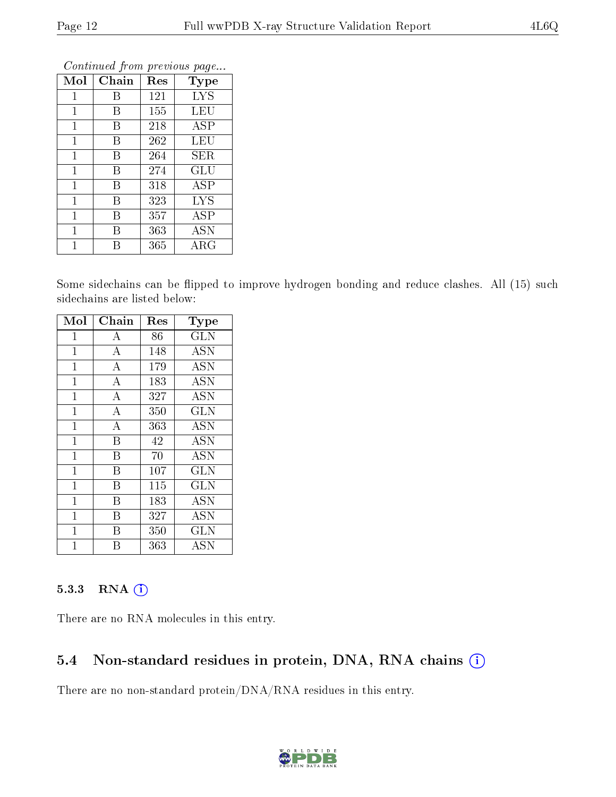| Mol          | Chain | Res | <b>Type</b> |
|--------------|-------|-----|-------------|
| 1            | В     | 121 | <b>LYS</b>  |
| 1            | В     | 155 | LEU         |
| 1            | В     | 218 | <b>ASP</b>  |
| $\mathbf{1}$ | В     | 262 | LEU         |
| 1            | В     | 264 | SER         |
| $\mathbf{1}$ | В     | 274 | GLU         |
| $\mathbf 1$  | В     | 318 | ASP         |
| $\mathbf 1$  | В     | 323 | <b>LYS</b>  |
| 1            | В     | 357 | ASP         |
| 1            | В     | 363 | ĀSN         |
|              | R     | 365 | $\rm{ARG}$  |

Continued from previous page...

Some sidechains can be flipped to improve hydrogen bonding and reduce clashes. All (15) such sidechains are listed below:

| Mol            | Chain              | Res | Type         |
|----------------|--------------------|-----|--------------|
| $\mathbf 1$    | A                  | 86  | $_{\rm GLN}$ |
| $\mathbf 1$    | $\boldsymbol{A}$   | 148 | <b>ASN</b>   |
| $\overline{1}$ | $\overline{\rm A}$ | 179 | <b>ASN</b>   |
| $\mathbf{1}$   | $\overline{A}$     | 183 | <b>ASN</b>   |
| $\mathbf 1$    | $\overline{A}$     | 327 | <b>ASN</b>   |
| $\mathbf 1$    | $\overline{A}$     | 350 | GLN          |
| $\mathbf{1}$   | $\bf{A}$           | 363 | <b>ASN</b>   |
| $\mathbf 1$    | B                  | 42  | <b>ASN</b>   |
| 1              | B                  | 70  | <b>ASN</b>   |
| $\mathbf{1}$   | B                  | 107 | <b>GLN</b>   |
| $\mathbf{1}$   | B                  | 115 | <b>GLN</b>   |
| $\mathbf{1}$   | Β                  | 183 | <b>ASN</b>   |
| $\overline{1}$ | B                  | 327 | ASN          |
| 1              | В                  | 350 | GLN          |
|                | В                  | 363 | <b>ASN</b>   |

#### 5.3.3 RNA (1)

There are no RNA molecules in this entry.

### 5.4 Non-standard residues in protein, DNA, RNA chains (i)

There are no non-standard protein/DNA/RNA residues in this entry.

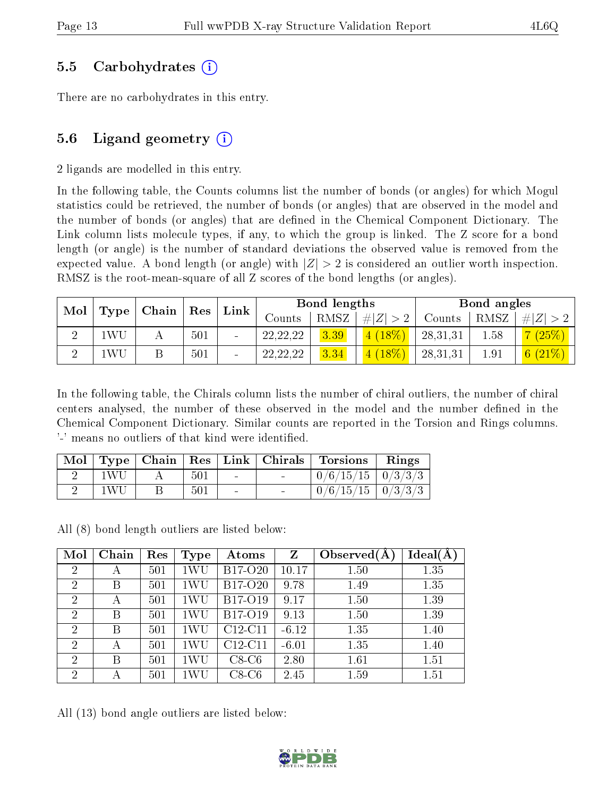### 5.5 Carbohydrates (i)

There are no carbohydrates in this entry.

# 5.6 Ligand geometry  $(i)$

2 ligands are modelled in this entry.

In the following table, the Counts columns list the number of bonds (or angles) for which Mogul statistics could be retrieved, the number of bonds (or angles) that are observed in the model and the number of bonds (or angles) that are defined in the Chemical Component Dictionary. The Link column lists molecule types, if any, to which the group is linked. The Z score for a bond length (or angle) is the number of standard deviations the observed value is removed from the expected value. A bond length (or angle) with  $|Z| > 2$  is considered an outlier worth inspection. RMSZ is the root-mean-square of all Z scores of the bond lengths (or angles).

|         | Mol   Type   Chain   Res |     |  | ${\bf Link}$ |      |             | Bond lengths |      |             | Bond angles |  |
|---------|--------------------------|-----|--|--------------|------|-------------|--------------|------|-------------|-------------|--|
|         |                          |     |  | Counts       | RMSZ | # $ Z  > 2$ | Counts       | RMSZ | $\# Z  > 2$ |             |  |
| WU      |                          | 501 |  | 22, 22, 22   | 3.39 | $(4 (18\%)$ | 28,31,31     | 1.58 | 7(25%)      |             |  |
| .<br>WU |                          | 501 |  | 22, 22, 22   | 3.34 | $(18\%)$    | 28,31,31     | 1.91 | 6 $(21\%)$  |             |  |

In the following table, the Chirals column lists the number of chiral outliers, the number of chiral centers analysed, the number of these observed in the model and the number defined in the Chemical Component Dictionary. Similar counts are reported in the Torsion and Rings columns. '-' means no outliers of that kind were identified.

|      |     |                   | Mol   Type   Chain   Res   Link   Chirals   Torsions   Rings |  |
|------|-----|-------------------|--------------------------------------------------------------|--|
| 1WU- | 501 | <b>Contractor</b> | $0/6/15/15$   $0/3/3/3$                                      |  |
| 1WU  | 501 |                   | $\boxed{0/6/15/15}$   $0/3/3/3$                              |  |

All (8) bond length outliers are listed below:

| Mol            | Chain | Res | <b>Type</b> | Atoms     | Z       | Observed $(A)$ | Ideal(A) |
|----------------|-------|-----|-------------|-----------|---------|----------------|----------|
| $\overline{2}$ | А     | 501 | 1WU         | B17-O20   | 10.17   | 1.50           | 1.35     |
| $\overline{2}$ | В     | 501 | 1WU         | B17-O20   | 9.78    | 1.49           | 1.35     |
| $\overline{2}$ | А     | 501 | 1WU         | B17-O19   | 9.17    | 1.50           | 1.39     |
| $\overline{2}$ | В     | 501 | 1WU         | B17-O19   | 9.13    | 1.50           | 1.39     |
| $\overline{2}$ | В     | 501 | 1WU         | $C12-C11$ | $-6.12$ | 1.35           | 1.40     |
| $\overline{2}$ | А     | 501 | 1WU         | $C12-C11$ | $-6.01$ | 1.35           | 1.40     |
| $\overline{2}$ | B     | 501 | 1WU         | $C8-C6$   | 2.80    | 1.61           | 1.51     |
| $\overline{2}$ |       | 501 | 1WU         | $C8-C6$   | 2.45    | 1.59           | 1.51     |

All (13) bond angle outliers are listed below:

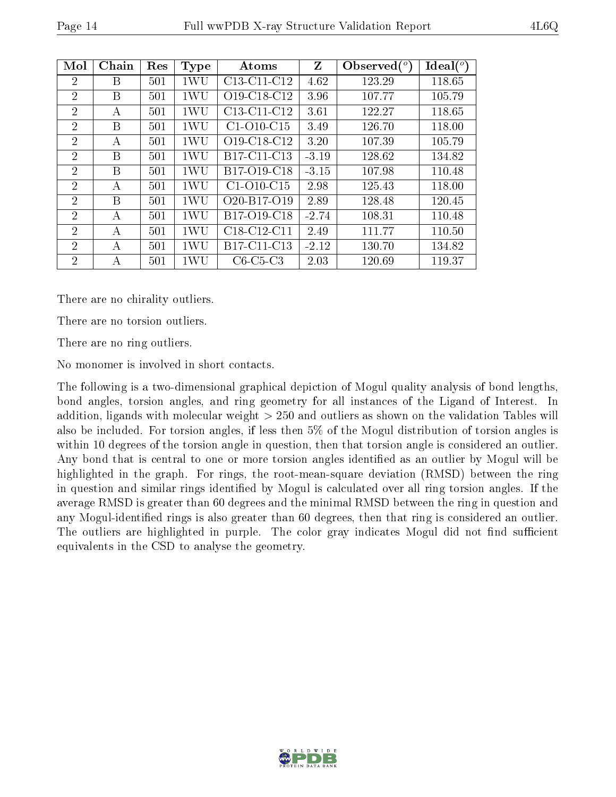| Mol            | Chain | Res | <b>Type</b> | Atoms                                             | $\mathbf{Z}$ | Observed $(°)$ | Ideal $(^\circ)$ |
|----------------|-------|-----|-------------|---------------------------------------------------|--------------|----------------|------------------|
| 2              | В     | 501 | 1WU         | $C13-C11-C12$                                     | 4.62         | 123.29         | 118.65           |
| $\overline{2}$ | В     | 501 | 1WU         | O19-C18-C12                                       | 3.96         | 107.77         | 105.79           |
| $\overline{2}$ | А     | 501 | 1WU         | $C13-C11-C12$                                     | 3.61         | 122.27         | 118.65           |
| $\overline{2}$ | B     | 501 | 1WU         | $C1-O10-C15$                                      | 3.49         | 126.70         | 118.00           |
| 2              | А     | 501 | 1WU         | O <sub>19</sub> -C <sub>18</sub> -C <sub>12</sub> | 3.20         | 107.39         | 105.79           |
| $\overline{2}$ | В     | 501 | 1WU         | B <sub>17</sub> -C <sub>11</sub> -C <sub>13</sub> | $-3.19$      | 128.62         | 134.82           |
| $\overline{2}$ | B     | 501 | 1WU         | B17-O19-C18                                       | $-3.15$      | 107.98         | 110.48           |
| $\overline{2}$ | А     | 501 | 1WU         | $C1-O10-C15$                                      | 2.98         | 125.43         | 118.00           |
| $\overline{2}$ | B     | 501 | 1WU         | O <sub>20</sub> -B <sub>17</sub> -O <sub>19</sub> | 2.89         | 128.48         | 120.45           |
| $\overline{2}$ | А     | 501 | 1WU         | B17-O19-C18                                       | $-2.74$      | 108.31         | 110.48           |
| $\overline{2}$ | А     | 501 | 1WU         | $C18-C12-C11$                                     | 2.49         | 111.77         | 110.50           |
| $\overline{2}$ | А     | 501 | 1WU         | B17-C11-C13                                       | $-2.12$      | 130.70         | 134.82           |
| $\overline{2}$ | А     | 501 | 1WU         | $C6-C5-C3$                                        | 2.03         | 120.69         | 119.37           |

There are no chirality outliers.

There are no torsion outliers.

There are no ring outliers.

No monomer is involved in short contacts.

The following is a two-dimensional graphical depiction of Mogul quality analysis of bond lengths, bond angles, torsion angles, and ring geometry for all instances of the Ligand of Interest. In addition, ligands with molecular weight > 250 and outliers as shown on the validation Tables will also be included. For torsion angles, if less then 5% of the Mogul distribution of torsion angles is within 10 degrees of the torsion angle in question, then that torsion angle is considered an outlier. Any bond that is central to one or more torsion angles identified as an outlier by Mogul will be highlighted in the graph. For rings, the root-mean-square deviation (RMSD) between the ring in question and similar rings identified by Mogul is calculated over all ring torsion angles. If the average RMSD is greater than 60 degrees and the minimal RMSD between the ring in question and any Mogul-identified rings is also greater than 60 degrees, then that ring is considered an outlier. The outliers are highlighted in purple. The color gray indicates Mogul did not find sufficient equivalents in the CSD to analyse the geometry.

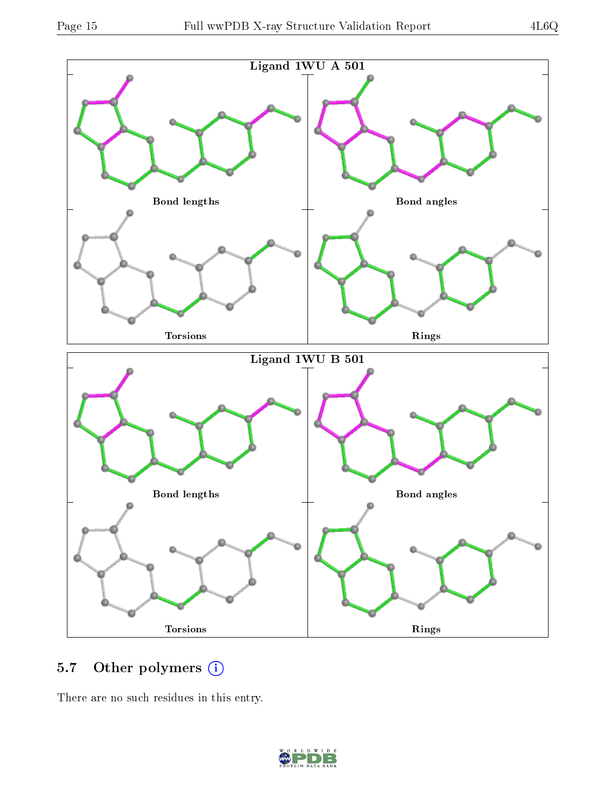

# 5.7 [O](https://www.wwpdb.org/validation/2017/XrayValidationReportHelp#nonstandard_residues_and_ligands)ther polymers (i)

There are no such residues in this entry.

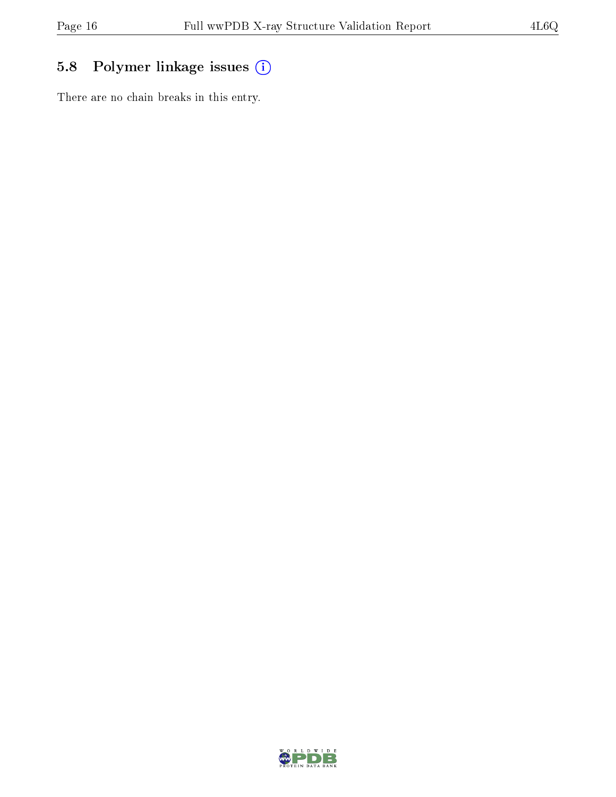# 5.8 Polymer linkage issues (i)

There are no chain breaks in this entry.

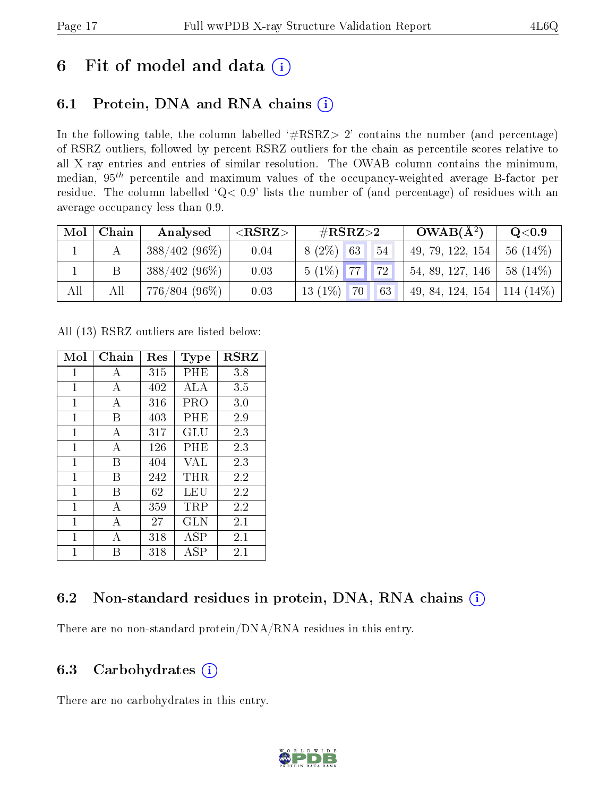# 6 Fit of model and data  $(i)$

# 6.1 Protein, DNA and RNA chains  $(i)$

In the following table, the column labelled  $#RSRZ> 2'$  contains the number (and percentage) of RSRZ outliers, followed by percent RSRZ outliers for the chain as percentile scores relative to all X-ray entries and entries of similar resolution. The OWAB column contains the minimum, median,  $95<sup>th</sup>$  percentile and maximum values of the occupancy-weighted average B-factor per residue. The column labelled ' $Q< 0.9$ ' lists the number of (and percentage) of residues with an average occupancy less than 0.9.

| Mol | Chain | Analysed        | ${ <\hspace{-1.5pt}{\mathrm{RSRZ}} \hspace{-1.5pt}>}$ | # $RSRZ>2$            | $OWAB(A^2)$      | Q <sub>0.9</sub> |
|-----|-------|-----------------|-------------------------------------------------------|-----------------------|------------------|------------------|
|     |       | $388/402(96\%)$ | 0.04                                                  | $8(2\%)$ 63<br>-54    | 49, 79, 122, 154 | 56 $(14\%)$      |
|     |       | $388/402(96\%)$ | 0.03                                                  | $5(1\%)$ 77<br> 72    | 54, 89, 127, 146 | $58(14\%)$       |
| All |       | 776/804 (96%)   | 0.03                                                  | $13(1\%)$<br>70<br>63 | 49, 84, 124, 154 | $114(14\%)$      |

All (13) RSRZ outliers are listed below:

| Mol          | Chain | $\operatorname{Res}% \left( \mathcal{N}\right) \equiv\operatorname{Res}(\mathcal{N}_{0},\mathcal{N}_{0})$ | Type       | <b>RSRZ</b> |
|--------------|-------|-----------------------------------------------------------------------------------------------------------|------------|-------------|
| $\mathbf 1$  | А     | 315                                                                                                       | PHE        | 3.8         |
| 1            | А     | 402                                                                                                       | ALA        | 3.5         |
| $\mathbf{1}$ | А     | 316                                                                                                       | PRO        | 3.0         |
| 1            | В     | 403                                                                                                       | $\rm PHE$  | 2.9         |
| 1            | А     | 317                                                                                                       | GLU        | 2.3         |
| $\mathbf{1}$ | А     | 126                                                                                                       | $\rm PHE$  | 2.3         |
| 1            | В     | 404                                                                                                       | VAL        | 2.3         |
| 1            | В     | 242                                                                                                       | THR        | 2.2         |
| $\mathbf{1}$ | В     | 62                                                                                                        | LEU        | 2.2         |
| 1            | А     | 359                                                                                                       | TRP        | 2.2         |
| 1            | А     | 27                                                                                                        | <b>GLN</b> | 2.1         |
| 1            | А     | 318                                                                                                       | ASP        | 2.1         |
| 1            | R     | 318                                                                                                       | ASP        | 2.1         |

# 6.2 Non-standard residues in protein, DNA, RNA chains (i)

There are no non-standard protein/DNA/RNA residues in this entry.

### 6.3 Carbohydrates (i)

There are no carbohydrates in this entry.

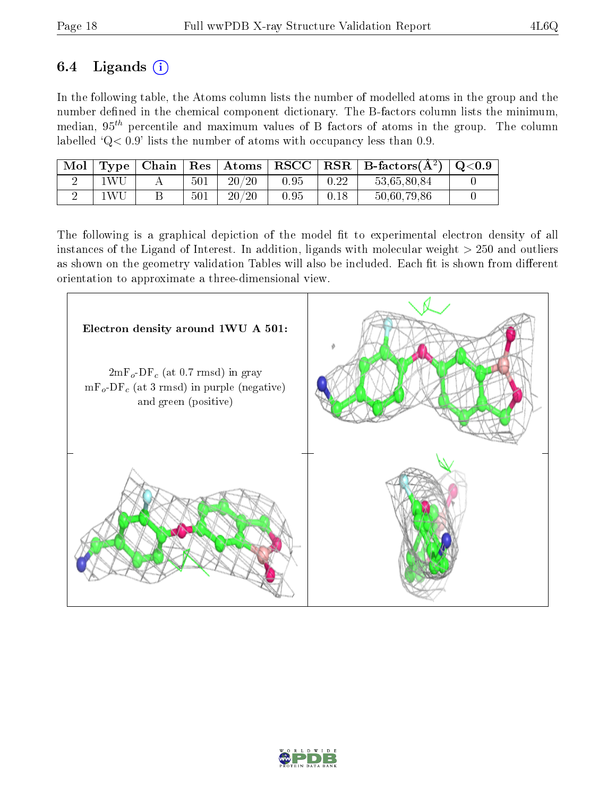# 6.4 Ligands  $(i)$

In the following table, the Atoms column lists the number of modelled atoms in the group and the number defined in the chemical component dictionary. The B-factors column lists the minimum, median,  $95<sup>th</sup>$  percentile and maximum values of B factors of atoms in the group. The column labelled ' $Q< 0.9$ ' lists the number of atoms with occupancy less than 0.9.

| Mol |       | $\top$ Type   Chain |     | $\vert$ Res $\vert$ Atoms $\vert$ | $\bf RSCC$ |      | $\mid$ RSR $\mid$ B-factors( $A^2$ ) $\mid$ Q<0.9 |  |
|-----|-------|---------------------|-----|-----------------------------------|------------|------|---------------------------------------------------|--|
|     | 1WU.  |                     | 501 | 20/20                             | 0.95       | 0.22 | 53,65,80,84                                       |  |
|     | 1 W I |                     | 501 | 20/20                             | 0.95       | 0.18 | 50,60,79,86                                       |  |

The following is a graphical depiction of the model fit to experimental electron density of all instances of the Ligand of Interest. In addition, ligands with molecular weight  $> 250$  and outliers as shown on the geometry validation Tables will also be included. Each fit is shown from different orientation to approximate a three-dimensional view.